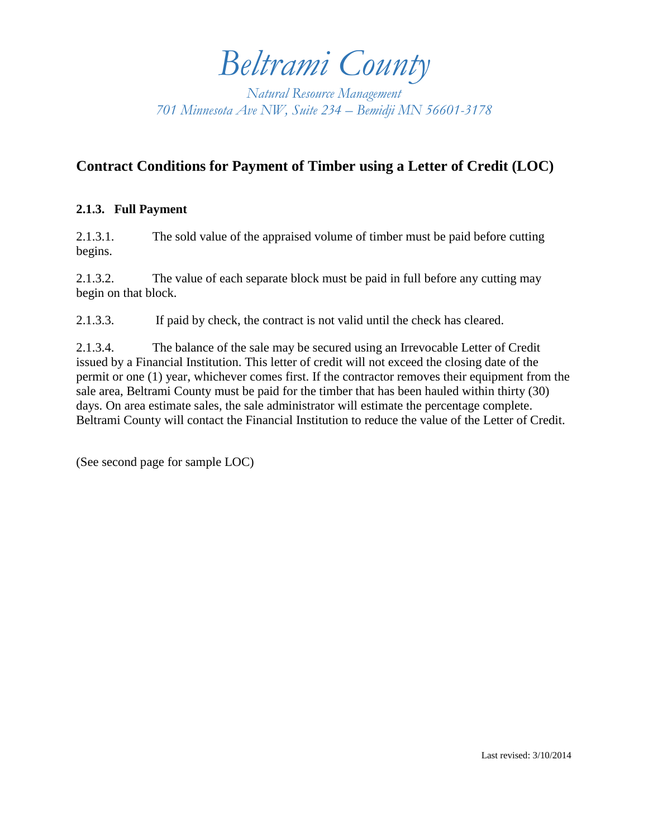*Beltrami County*

*Natural Resource Management 701 Minnesota Ave NW, Suite 234 – Bemidji MN 56601-3178*

## **Contract Conditions for Payment of Timber using a Letter of Credit (LOC)**

## **2.1.3. Full Payment**

2.1.3.1. The sold value of the appraised volume of timber must be paid before cutting begins.

2.1.3.2. The value of each separate block must be paid in full before any cutting may begin on that block.

2.1.3.3. If paid by check, the contract is not valid until the check has cleared.

2.1.3.4. The balance of the sale may be secured using an Irrevocable Letter of Credit issued by a Financial Institution. This letter of credit will not exceed the closing date of the permit or one (1) year, whichever comes first. If the contractor removes their equipment from the sale area, Beltrami County must be paid for the timber that has been hauled within thirty (30) days. On area estimate sales, the sale administrator will estimate the percentage complete. Beltrami County will contact the Financial Institution to reduce the value of the Letter of Credit.

(See second page for sample LOC)